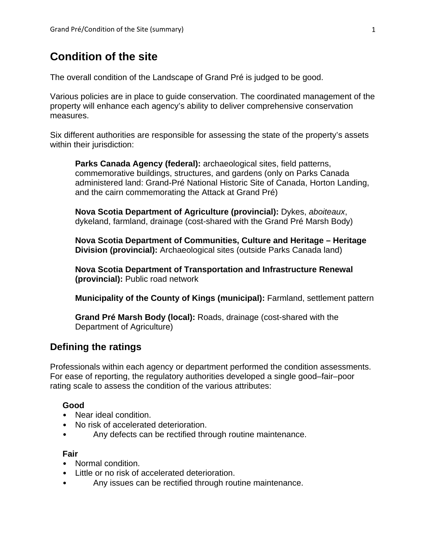# **Condition of the site**

The overall condition of the Landscape of Grand Pré is judged to be good.

Various policies are in place to guide conservation. The coordinated management of the property will enhance each agency's ability to deliver comprehensive conservation measures.

Six different authorities are responsible for assessing the state of the property's assets within their jurisdiction:

**Parks Canada Agency (federal):** archaeological sites, field patterns, commemorative buildings, structures, and gardens (only on Parks Canada administered land: Grand-Pré National Historic Site of Canada, Horton Landing, and the cairn commemorating the Attack at Grand Pré)

**Nova Scotia Department of Agriculture (provincial):** Dykes, *aboiteaux*, dykeland, farmland, drainage (cost-shared with the Grand Pré Marsh Body)

**Nova Scotia Department of Communities, Culture and Heritage – Heritage Division (provincial):** Archaeological sites (outside Parks Canada land)

**Nova Scotia Department of Transportation and Infrastructure Renewal (provincial):** Public road network

**Municipality of the County of Kings (municipal):** Farmland, settlement pattern

**Grand Pré Marsh Body (local):** Roads, drainage (cost-shared with the Department of Agriculture)

# **Defining the ratings**

Professionals within each agency or department performed the condition assessments. For ease of reporting, the regulatory authorities developed a single good–fair–poor rating scale to assess the condition of the various attributes:

### **Good**

- Near ideal condition.
- No risk of accelerated deterioration.
- Any defects can be rectified through routine maintenance.

#### **Fair**

- Normal condition.
- Little or no risk of accelerated deterioration.
- Any issues can be rectified through routine maintenance.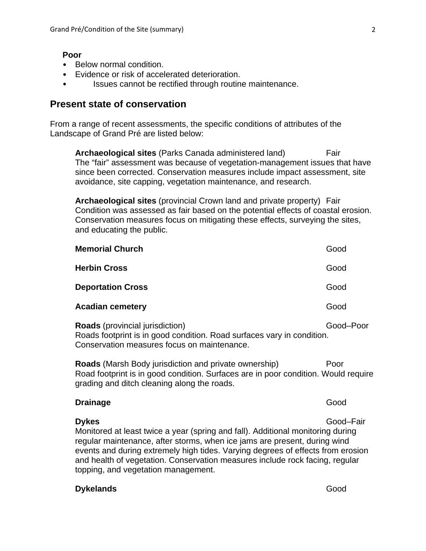#### **Poor**

- Below normal condition.
- Evidence or risk of accelerated deterioration.
- Issues cannot be rectified through routine maintenance.

## **Present state of conservation**

From a range of recent assessments, the specific conditions of attributes of the Landscape of Grand Pré are listed below:

**Archaeological sites** (Parks Canada administered land) Fair The "fair" assessment was because of vegetation-management issues that have since been corrected. Conservation measures include impact assessment, site avoidance, site capping, vegetation maintenance, and research.

**Archaeological sites** (provincial Crown land and private property) Fair Condition was assessed as fair based on the potential effects of coastal erosion. Conservation measures focus on mitigating these effects, surveying the sites, and educating the public.

| Good |
|------|
| Good |
| Good |
| Good |
|      |

**Roads** (provincial jurisdiction) Good–Poor Roads footprint is in good condition. Road surfaces vary in condition. Conservation measures focus on maintenance.

**Roads** (Marsh Body jurisdiction and private ownership) Poor Road footprint is in good condition. Surfaces are in poor condition. Would require grading and ditch cleaning along the roads.

| <b>Drainage</b>                                                                 | Good      |
|---------------------------------------------------------------------------------|-----------|
| <b>Dykes</b>                                                                    | Good-Fair |
| Monitored at least twice a year (spring and fall). Additional monitoring during |           |
| regular maintenance, after storms, when ice jams are present, during wind       |           |
| events and during extremely high tides. Varying degrees of effects from erosion |           |
| and health of vegetation. Conservation measures include rock facing, regular    |           |
| topping, and vegetation management.                                             |           |

### **Dykelands** Good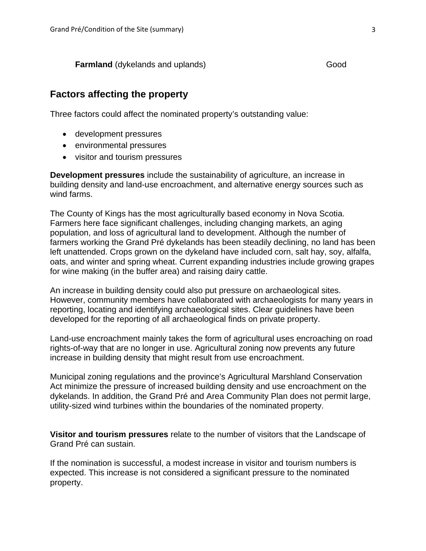**Farmland** (dykelands and uplands) Good

# **Factors affecting the property**

Three factors could affect the nominated property's outstanding value:

- development pressures
- environmental pressures
- visitor and tourism pressures

**Development pressures** include the sustainability of agriculture, an increase in building density and land-use encroachment, and alternative energy sources such as wind farms.

The County of Kings has the most agriculturally based economy in Nova Scotia. Farmers here face significant challenges, including changing markets, an aging population, and loss of agricultural land to development. Although the number of farmers working the Grand Pré dykelands has been steadily declining, no land has been left unattended. Crops grown on the dykeland have included corn, salt hay, soy, alfalfa, oats, and winter and spring wheat. Current expanding industries include growing grapes for wine making (in the buffer area) and raising dairy cattle.

An increase in building density could also put pressure on archaeological sites. However, community members have collaborated with archaeologists for many years in reporting, locating and identifying archaeological sites. Clear guidelines have been developed for the reporting of all archaeological finds on private property.

Land-use encroachment mainly takes the form of agricultural uses encroaching on road rights-of-way that are no longer in use. Agricultural zoning now prevents any future increase in building density that might result from use encroachment.

Municipal zoning regulations and the province's Agricultural Marshland Conservation Act minimize the pressure of increased building density and use encroachment on the dykelands. In addition, the Grand Pré and Area Community Plan does not permit large, utility-sized wind turbines within the boundaries of the nominated property.

**Visitor and tourism pressures** relate to the number of visitors that the Landscape of Grand Pré can sustain.

If the nomination is successful, a modest increase in visitor and tourism numbers is expected. This increase is not considered a significant pressure to the nominated property.